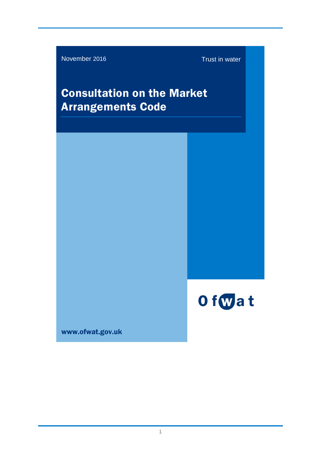November 2016 Trust in water

# Consultation on the Market Arrangements Code



www.ofwat.gov.uk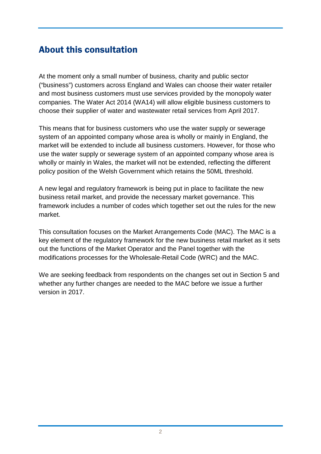### <span id="page-1-0"></span>About this consultation

At the moment only a small number of business, charity and public sector ("business") customers across England and Wales can choose their water retailer and most business customers must use services provided by the monopoly water companies. The Water Act 2014 (WA14) will allow eligible business customers to choose their supplier of water and wastewater retail services from April 2017.

This means that for business customers who use the water supply or sewerage system of an appointed company whose area is wholly or mainly in England, the market will be extended to include all business customers. However, for those who use the water supply or sewerage system of an appointed company whose area is wholly or mainly in Wales, the market will not be extended, reflecting the different policy position of the Welsh Government which retains the 50ML threshold.

A new legal and regulatory framework is being put in place to facilitate the new business retail market, and provide the necessary market governance. This framework includes a number of codes which together set out the rules for the new market.

This consultation focuses on the Market Arrangements Code (MAC). The MAC is a key element of the regulatory framework for the new business retail market as it sets out the functions of the Market Operator and the Panel together with the modifications processes for the Wholesale-Retail Code (WRC) and the MAC.

We are seeking feedback from respondents on the changes set out in Section 5 and whether any further changes are needed to the MAC before we issue a further version in 2017.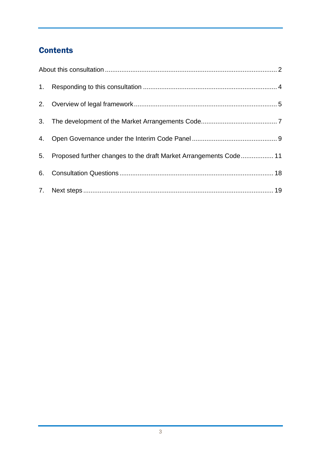### **Contents**

| 4. |                                                                   |  |
|----|-------------------------------------------------------------------|--|
| 5. | Proposed further changes to the draft Market Arrangements Code 11 |  |
|    |                                                                   |  |
|    |                                                                   |  |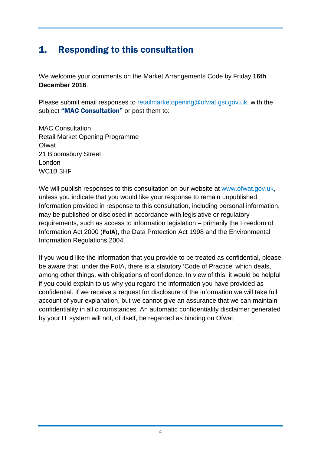### <span id="page-3-0"></span>1. Responding to this consultation

We welcome your comments on the Market Arrangements Code by Friday **16th December 2016**.

Please submit email responses to [retailmarketopening@ofwat.gsi.gov.uk,](mailto:retailmarketopening@ofwat.gsi.gov.uk) with the subject "MAC Consultation" or post them to:

MAC Consultation Retail Market Opening Programme **Ofwat** 21 Bloomsbury Street London WC1B 3HF

We will publish responses to this consultation on our website at [www.ofwat.gov.uk,](http://www.ofwat.gov.uk/) unless you indicate that you would like your response to remain unpublished. Information provided in response to this consultation, including personal information, may be published or disclosed in accordance with legislative or regulatory requirements, such as access to information legislation – primarily the Freedom of Information Act 2000 (FoIA), the Data Protection Act 1998 and the Environmental Information Regulations 2004.

If you would like the information that you provide to be treated as confidential, please be aware that, under the FoIA, there is a statutory 'Code of Practice' which deals, among other things, with obligations of confidence. In view of this, it would be helpful if you could explain to us why you regard the information you have provided as confidential. If we receive a request for disclosure of the information we will take full account of your explanation, but we cannot give an assurance that we can maintain confidentiality in all circumstances. An automatic confidentiality disclaimer generated by your IT system will not, of itself, be regarded as binding on Ofwat.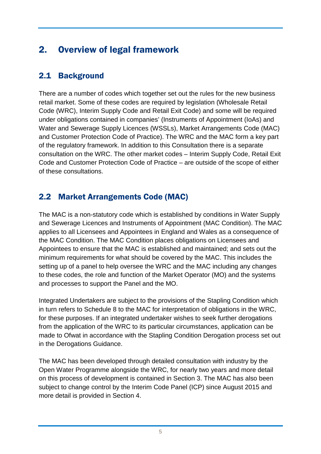## <span id="page-4-0"></span>2. Overview of legal framework

#### 2.1 Background

There are a number of codes which together set out the rules for the new business retail market. Some of these codes are required by legislation (Wholesale Retail Code (WRC), Interim Supply Code and Retail Exit Code) and some will be required under obligations contained in companies' (Instruments of Appointment (IoAs) and Water and Sewerage Supply Licences (WSSLs), Market Arrangements Code (MAC) and Customer Protection Code of Practice). The WRC and the MAC form a key part of the regulatory framework. In addition to this Consultation there is a separate consultation on the WRC. The other market codes – Interim Supply Code, Retail Exit Code and Customer Protection Code of Practice – are outside of the scope of either of these consultations.

#### 2.2 Market Arrangements Code (MAC)

The MAC is a non-statutory code which is established by conditions in Water Supply and Sewerage Licences and Instruments of Appointment (MAC Condition). The MAC applies to all Licensees and Appointees in England and Wales as a consequence of the MAC Condition. The MAC Condition places obligations on Licensees and Appointees to ensure that the MAC is established and maintained; and sets out the minimum requirements for what should be covered by the MAC. This includes the setting up of a panel to help oversee the WRC and the MAC including any changes to these codes, the role and function of the Market Operator (MO) and the systems and processes to support the Panel and the MO.

Integrated Undertakers are subject to the provisions of the Stapling Condition which in turn refers to Schedule 8 to the MAC for interpretation of obligations in the WRC, for these purposes. If an integrated undertaker wishes to seek further derogations from the application of the WRC to its particular circumstances, application can be made to Ofwat in accordance with the Stapling Condition Derogation process set out in the Derogations Guidance.

The MAC has been developed through detailed consultation with industry by the Open Water Programme alongside the WRC, for nearly two years and more detail on this process of development is contained in Section 3. The MAC has also been subject to change control by the Interim Code Panel (ICP) since August 2015 and more detail is provided in Section 4.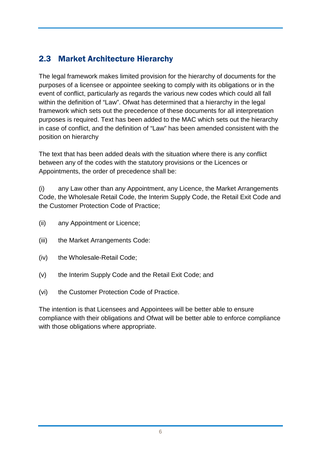### 2.3 Market Architecture Hierarchy

The legal framework makes limited provision for the hierarchy of documents for the purposes of a licensee or appointee seeking to comply with its obligations or in the event of conflict, particularly as regards the various new codes which could all fall within the definition of "Law". Ofwat has determined that a hierarchy in the legal framework which sets out the precedence of these documents for all interpretation purposes is required. Text has been added to the MAC which sets out the hierarchy in case of conflict, and the definition of "Law" has been amended consistent with the position on hierarchy

The text that has been added deals with the situation where there is any conflict between any of the codes with the statutory provisions or the Licences or Appointments, the order of precedence shall be:

(i) any Law other than any Appointment, any Licence, the Market Arrangements Code, the Wholesale Retail Code, the Interim Supply Code, the Retail Exit Code and the Customer Protection Code of Practice;

- (ii) any Appointment or Licence;
- (iii) the Market Arrangements Code:
- (iv) the Wholesale-Retail Code;
- (v) the Interim Supply Code and the Retail Exit Code; and
- (vi) the Customer Protection Code of Practice.

The intention is that Licensees and Appointees will be better able to ensure compliance with their obligations and Ofwat will be better able to enforce compliance with those obligations where appropriate.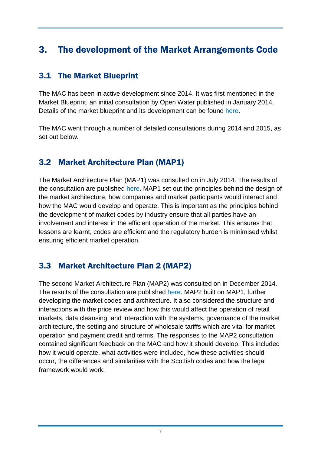### <span id="page-6-0"></span>3. The development of the Market Arrangements Code

#### 3.1 The Market Blueprint

The MAC has been in active development since 2014. It was first mentioned in the Market Blueprint, an initial consultation by Open Water published in January 2014. Details of the market blueprint and its development can be found [here.](https://www.mosl.co.uk/open-water/open-water-documents/download-category/market-blueprint/)

The MAC went through a number of detailed consultations during 2014 and 2015, as set out below.

#### 3.2 Market Architecture Plan (MAP1)

The Market Architecture Plan (MAP1) was consulted on in July 2014. The results of the consultation are published [here.](https://www.mosl.co.uk/open-water/open-water-documents/download-category/map/) MAP1 set out the principles behind the design of the market architecture, how companies and market participants would interact and how the MAC would develop and operate. This is important as the principles behind the development of market codes by industry ensure that all parties have an involvement and interest in the efficient operation of the market. This ensures that lessons are learnt, codes are efficient and the regulatory burden is minimised whilst ensuring efficient market operation.

#### 3.3 Market Architecture Plan 2 (MAP2)

The second Market Architecture Plan (MAP2) was consulted on in December 2014. The results of the consultation are published [here.](https://www.mosl.co.uk/open-water/open-water-documents/download-category/map-2/) MAP2 built on MAP1, further developing the market codes and architecture. It also considered the structure and interactions with the price review and how this would affect the operation of retail markets, data cleansing, and interaction with the systems, governance of the market architecture, the setting and structure of wholesale tariffs which are vital for market operation and payment credit and terms. The responses to the MAP2 consultation contained significant feedback on the MAC and how it should develop. This included how it would operate, what activities were included, how these activities should occur, the differences and similarities with the Scottish codes and how the legal framework would work.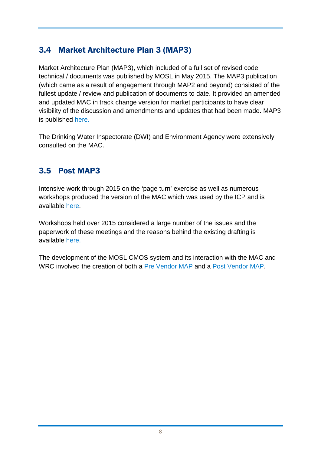### 3.4 Market Architecture Plan 3 (MAP3)

Market Architecture Plan (MAP3), which included of a full set of revised code technical / documents was published by MOSL in May 2015. The MAP3 publication (which came as a result of engagement through MAP2 and beyond) consisted of the fullest update / review and publication of documents to date. It provided an amended and updated MAC in track change version for market participants to have clear visibility of the discussion and amendments and updates that had been made. MAP3 is published [here.](https://www.mosl.co.uk/open-water/open-water-documents/download-category/map-3-technical-appendices/?dlpage=1)

The Drinking Water Inspectorate (DWI) and Environment Agency were extensively consulted on the MAC.

#### 3.5 Post MAP3

Intensive work through 2015 on the 'page turn' exercise as well as numerous workshops produced the version of the MAC which was used by the ICP and is available [here.](https://www.mosl.co.uk/documents/download-info/map-2-key-messages/)

Workshops held over 2015 considered a large number of the issues and the paperwork of these meetings and the reasons behind the existing drafting is available [here.](https://www.mosl.co.uk/documents/)

The development of the MOSL CMOS system and its interaction with the MAC and WRC involved the creation of both a [Pre Vendor MAP](https://www.mosl.co.uk/open-water/open-water-documents/download-category/pre-vendor-map/) and a [Post Vendor MAP.](https://www.mosl.co.uk/open-water/open-water-documents/download-category/post-vendor-map/?dlpage=7)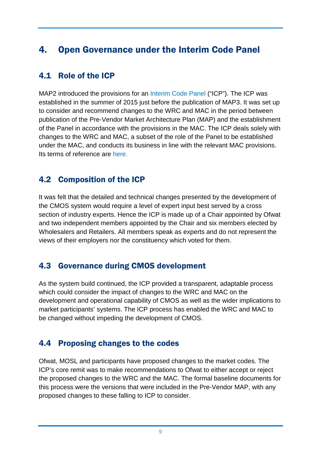### <span id="page-8-0"></span>4. Open Governance under the Interim Code Panel

#### 4.1 Role of the ICP

MAP2 introduced the provisions for an [Interim Code Panel](https://www.mosl.co.uk/open-water/open-water-documents/download-category/icp/) ("ICP"). The ICP was established in the summer of 2015 just before the publication of MAP3. It was set up to consider and recommend changes to the WRC and MAC in the period between publication of the Pre-Vendor Market Architecture Plan (MAP) and the establishment of the Panel in accordance with the provisions in the MAC. The ICP deals solely with changes to the WRC and MAC, a subset of the role of the Panel to be established under the MAC, and conducts its business in line with the relevant MAC provisions. Its terms of reference are [here.](https://www.mosl.co.uk/download/3780/)

#### 4.2 Composition of the ICP

It was felt that the detailed and technical changes presented by the development of the CMOS system would require a level of expert input best served by a cross section of industry experts. Hence the ICP is made up of a Chair appointed by Ofwat and two independent members appointed by the Chair and six members elected by Wholesalers and Retailers. All members speak as experts and do not represent the views of their employers nor the constituency which voted for them.

#### 4.3 Governance during CMOS development

As the system build continued, the ICP provided a transparent, adaptable process which could consider the impact of changes to the WRC and MAC on the development and operational capability of CMOS as well as the wider implications to market participants' systems. The ICP process has enabled the WRC and MAC to be changed without impeding the development of CMOS.

#### 4.4 Proposing changes to the codes

Ofwat, MOSL and participants have proposed changes to the market codes. The ICP's core remit was to make recommendations to Ofwat to either accept or reject the proposed changes to the WRC and the MAC. The formal baseline documents for this process were the versions that were included in the Pre-Vendor MAP, with any proposed changes to these falling to ICP to consider.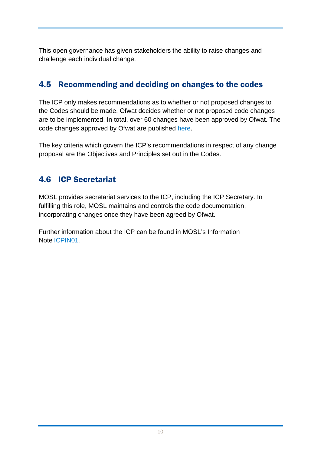This open governance has given stakeholders the ability to raise changes and challenge each individual change.

#### 4.5 Recommending and deciding on changes to the codes

The ICP only makes recommendations as to whether or not proposed changes to the Codes should be made. Ofwat decides whether or not proposed code changes are to be implemented. In total, over 60 changes have been approved by Ofwat. The code changes approved by Ofwat are published [here.](https://www.mosl.co.uk/open-water/open-water-documents/download-info/icp-change-proposal-control-log/)

The key criteria which govern the ICP's recommendations in respect of any change proposal are the Objectives and Principles set out in the Codes.

#### 4.6 ICP Secretariat

MOSL provides secretariat services to the ICP, including the ICP Secretary. In fulfilling this role, MOSL maintains and controls the code documentation, incorporating changes once they have been agreed by Ofwat.

Further information about the ICP can be found in MOSL's Information Note [ICPIN01.](https://www.mosl.co.uk/download/3777/)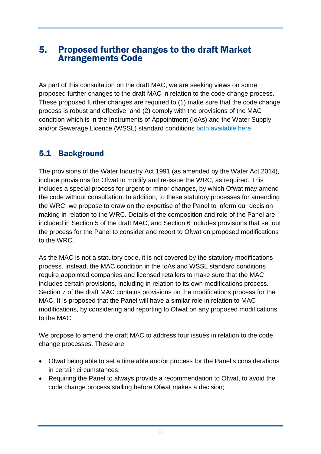#### <span id="page-10-0"></span>5. Proposed further changes to the draft Market Arrangements Code

As part of this consultation on the draft MAC, we are seeking views on some proposed further changes to the draft MAC in relation to the code change process. These proposed further changes are required to (1) make sure that the code change process is robust and effective, and (2) comply with the provisions of the MAC condition which is in the Instruments of Appointment (IoAs) and the Water Supply and/or Sewerage Licence (WSSL) standard conditions [both available here](http://www.ofwat.gov.uk/regulated-companies/licences/)

### 5.1 Background

The provisions of the Water Industry Act 1991 (as amended by the Water Act 2014), include provisions for Ofwat to modify and re-issue the WRC, as required. This includes a special process for urgent or minor changes, by which Ofwat may amend the code without consultation. In addition, to these statutory processes for amending the WRC, we propose to draw on the expertise of the Panel to inform our decision making in relation to the WRC. Details of the composition and role of the Panel are included in Section 5 of the draft MAC, and Section 6 includes provisions that set out the process for the Panel to consider and report to Ofwat on proposed modifications to the WRC.

As the MAC is not a statutory code, it is not covered by the statutory modifications process. Instead, the MAC condition in the IoAs and WSSL standard conditions require appointed companies and licensed retailers to make sure that the MAC includes certain provisions, including in relation to its own modifications process. Section 7 of the draft MAC contains provisions on the modifications process for the MAC. It is proposed that the Panel will have a similar role in relation to MAC modifications, by considering and reporting to Ofwat on any proposed modifications to the MAC.

We propose to amend the draft MAC to address four issues in relation to the code change processes. These are:

- Ofwat being able to set a timetable and/or process for the Panel's considerations in certain circumstances;
- Requiring the Panel to always provide a recommendation to Ofwat, to avoid the code change process stalling before Ofwat makes a decision;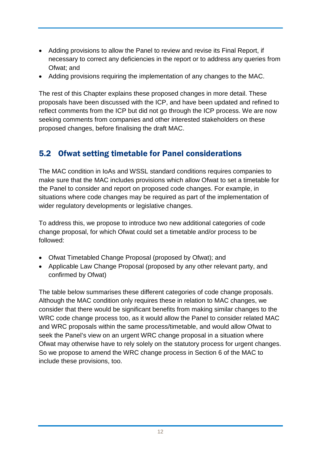- Adding provisions to allow the Panel to review and revise its Final Report, if necessary to correct any deficiencies in the report or to address any queries from Ofwat; and
- Adding provisions requiring the implementation of any changes to the MAC.

The rest of this Chapter explains these proposed changes in more detail. These proposals have been discussed with the ICP, and have been updated and refined to reflect comments from the ICP but did not go through the ICP process. We are now seeking comments from companies and other interested stakeholders on these proposed changes, before finalising the draft MAC.

### 5.2 Ofwat setting timetable for Panel considerations

The MAC condition in IoAs and WSSL standard conditions requires companies to make sure that the MAC includes provisions which allow Ofwat to set a timetable for the Panel to consider and report on proposed code changes. For example, in situations where code changes may be required as part of the implementation of wider regulatory developments or legislative changes.

To address this, we propose to introduce two new additional categories of code change proposal, for which Ofwat could set a timetable and/or process to be followed:

- Ofwat Timetabled Change Proposal (proposed by Ofwat); and
- Applicable Law Change Proposal (proposed by any other relevant party, and confirmed by Ofwat)

The table below summarises these different categories of code change proposals. Although the MAC condition only requires these in relation to MAC changes, we consider that there would be significant benefits from making similar changes to the WRC code change process too, as it would allow the Panel to consider related MAC and WRC proposals within the same process/timetable, and would allow Ofwat to seek the Panel's view on an urgent WRC change proposal in a situation where Ofwat may otherwise have to rely solely on the statutory process for urgent changes. So we propose to amend the WRC change process in Section 6 of the MAC to include these provisions, too.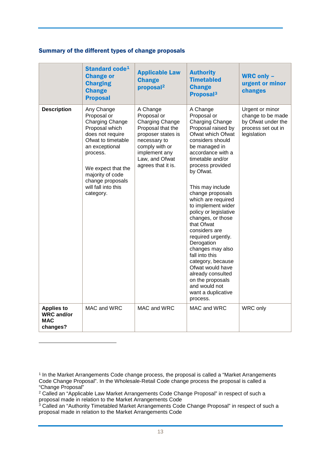#### Summary of the different types of change proposals

|                                                                  | Standard code <sup>1</sup><br><b>Change or</b><br><b>Charging</b><br><b>Change</b><br><b>Proposal</b>                                                                                                                                           | <b>Applicable Law</b><br><b>Change</b><br>proposal <sup>2</sup>                                                                                                                  | <b>Authority</b><br><b>Timetabled</b><br><b>Change</b><br>Proposal <sup>3</sup>                                                                                                                                                                                                                                                                                                                                                                                                                                                                                                      | <b>WRC only -</b><br>urgent or minor<br>changes                                                 |
|------------------------------------------------------------------|-------------------------------------------------------------------------------------------------------------------------------------------------------------------------------------------------------------------------------------------------|----------------------------------------------------------------------------------------------------------------------------------------------------------------------------------|--------------------------------------------------------------------------------------------------------------------------------------------------------------------------------------------------------------------------------------------------------------------------------------------------------------------------------------------------------------------------------------------------------------------------------------------------------------------------------------------------------------------------------------------------------------------------------------|-------------------------------------------------------------------------------------------------|
| <b>Description</b>                                               | Any Change<br>Proposal or<br><b>Charging Change</b><br>Proposal which<br>does not require<br>Ofwat to timetable<br>an exceptional<br>process.<br>We expect that the<br>majority of code<br>change proposals<br>will fall into this<br>category. | A Change<br>Proposal or<br>Charging Change<br>Proposal that the<br>proposer states is<br>necessary to<br>comply with or<br>implement any<br>Law, and Ofwat<br>agrees that it is. | A Change<br>Proposal or<br>Charging Change<br>Proposal raised by<br>Ofwat which Ofwat<br>considers should<br>be managed in<br>accordance with a<br>timetable and/or<br>process provided<br>by Ofwat.<br>This may include<br>change proposals<br>which are required<br>to implement wider<br>policy or legislative<br>changes, or those<br>that Ofwat<br>considers are<br>required urgently.<br>Derogation<br>changes may also<br>fall into this<br>category, because<br>Ofwat would have<br>already consulted<br>on the proposals<br>and would not<br>want a duplicative<br>process. | Urgent or minor<br>change to be made<br>by Ofwat under the<br>process set out in<br>legislation |
| <b>Applies to</b><br><b>WRC</b> and/or<br><b>MAC</b><br>changes? | MAC and WRC                                                                                                                                                                                                                                     | MAC and WRC                                                                                                                                                                      | MAC and WRC                                                                                                                                                                                                                                                                                                                                                                                                                                                                                                                                                                          | WRC only                                                                                        |

-

<span id="page-12-0"></span><sup>&</sup>lt;sup>1</sup> In the Market Arrangements Code change process, the proposal is called a "Market Arrangements" Code Change Proposal". In the Wholesale-Retail Code change process the proposal is called a "Change Proposal"

<span id="page-12-1"></span><sup>2</sup> Called an "Applicable Law Market Arrangements Code Change Proposal" in respect of such a proposal made in relation to the Market Arrangements Code

<span id="page-12-2"></span><sup>&</sup>lt;sup>3</sup> Called an "Authority Timetabled Market Arrangements Code Change Proposal" in respect of such a proposal made in relation to the Market Arrangements Code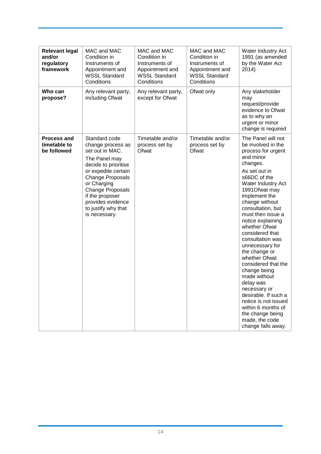| <b>Relevant legal</b><br>and/or<br>regulatory<br>framework | MAC and MAC<br>Condition in<br>Instruments of<br>Appointment and<br><b>WSSL Standard</b><br>Conditions                                                                                                                                                                     | MAC and MAC<br>Condition in<br>Instruments of<br>Appointment and<br><b>WSSL Standard</b><br>Conditions | MAC and MAC<br>Condition in<br>Instruments of<br>Appointment and<br><b>WSSL Standard</b><br>Conditions | Water Industry Act<br>1991 (as amended<br>by the Water Act<br>2014)                                                                                                                                                                                                                                                                                                                                                                                                                                                                                                                                    |
|------------------------------------------------------------|----------------------------------------------------------------------------------------------------------------------------------------------------------------------------------------------------------------------------------------------------------------------------|--------------------------------------------------------------------------------------------------------|--------------------------------------------------------------------------------------------------------|--------------------------------------------------------------------------------------------------------------------------------------------------------------------------------------------------------------------------------------------------------------------------------------------------------------------------------------------------------------------------------------------------------------------------------------------------------------------------------------------------------------------------------------------------------------------------------------------------------|
| Who can<br>propose?                                        | Any relevant party,<br>including Ofwat                                                                                                                                                                                                                                     | Any relevant party,<br>except for Ofwat                                                                | Ofwat only                                                                                             | Any stakeholder<br>may<br>request/provide<br>evidence to Ofwat<br>as to why an<br>urgent or minor<br>change is required                                                                                                                                                                                                                                                                                                                                                                                                                                                                                |
| <b>Process and</b><br>timetable to<br>be followed          | Standard code<br>change process as<br>set out in MAC.<br>The Panel may<br>decide to prioritise<br>or expedite certain<br><b>Change Proposals</b><br>or Charging<br><b>Change Proposals</b><br>if the proposer<br>provides evidence<br>to justify why that<br>is necessary. | Timetable and/or<br>process set by<br>Ofwat                                                            | Timetable and/or<br>process set by<br>Ofwat                                                            | The Panel will not<br>be involved in the<br>process for urgent<br>and minor<br>changes.<br>As set out in<br>s66DC of the<br>Water Industry Act<br>1991 Of wat may<br>implement the<br>change without<br>consultation, but<br>must then issue a<br>notice explaining<br>whether Ofwat<br>considered that<br>consultation was<br>unnecessary for<br>the change or<br>whether Ofwat<br>considered that the<br>change being<br>made without<br>delay was<br>necessary or<br>desirable. If such a<br>notice is not issued<br>within 6 months of<br>the change being<br>made, the code<br>change falls away. |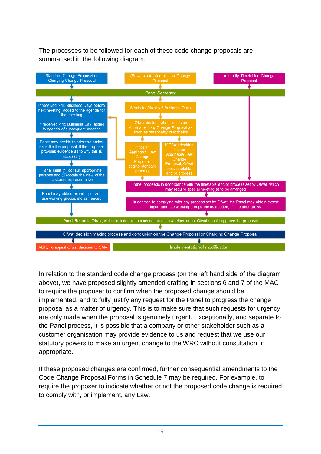The processes to be followed for each of these code change proposals are summarised in the following diagram:



In relation to the standard code change process (on the left hand side of the diagram above), we have proposed slightly amended drafting in sections 6 and 7 of the MAC to require the proposer to confirm when the proposed change should be implemented, and to fully justify any request for the Panel to progress the change proposal as a matter of urgency. This is to make sure that such requests for urgency are only made when the proposal is genuinely urgent. Exceptionally, and separate to the Panel process, it is possible that a company or other stakeholder such as a customer organisation may provide evidence to us and request that we use our statutory powers to make an urgent change to the WRC without consultation, if appropriate.

If these proposed changes are confirmed, further consequential amendments to the Code Change Proposal Forms in Schedule 7 may be required. For example, to require the proposer to indicate whether or not the proposed code change is required to comply with, or implement, any Law.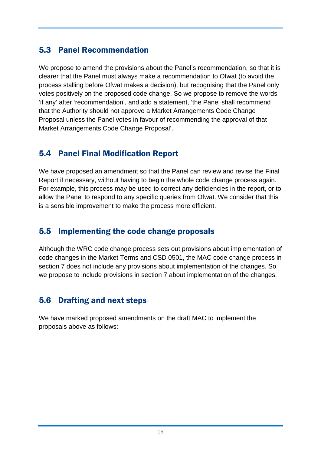#### 5.3 Panel Recommendation

We propose to amend the provisions about the Panel's recommendation, so that it is clearer that the Panel must always make a recommendation to Ofwat (to avoid the process stalling before Ofwat makes a decision), but recognising that the Panel only votes positively on the proposed code change. So we propose to remove the words 'if any' after 'recommendation', and add a statement, 'the Panel shall recommend that the Authority should not approve a Market Arrangements Code Change Proposal unless the Panel votes in favour of recommending the approval of that Market Arrangements Code Change Proposal'.

### 5.4 Panel Final Modification Report

We have proposed an amendment so that the Panel can review and revise the Final Report if necessary, without having to begin the whole code change process again. For example, this process may be used to correct any deficiencies in the report, or to allow the Panel to respond to any specific queries from Ofwat. We consider that this is a sensible improvement to make the process more efficient.

#### 5.5 Implementing the code change proposals

Although the WRC code change process sets out provisions about implementation of code changes in the Market Terms and CSD 0501, the MAC code change process in section 7 does not include any provisions about implementation of the changes. So we propose to include provisions in section 7 about implementation of the changes.

#### 5.6 Drafting and next steps

We have marked proposed amendments on the draft MAC to implement the proposals above as follows: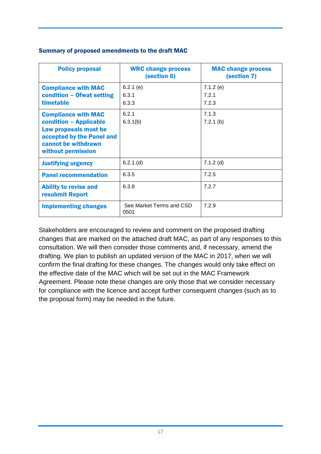| <b>Policy proposal</b>                                                                                                                                  | <b>WRC change process</b><br>(section 6) | <b>MAC change process</b><br>(section 7) |
|---------------------------------------------------------------------------------------------------------------------------------------------------------|------------------------------------------|------------------------------------------|
| <b>Compliance with MAC</b><br>condition - Ofwat setting<br>timetable                                                                                    | $6.2.1$ (e)<br>6.3.1<br>6.3.3            | 7.1.2(e)<br>7.2.1<br>7.2.3               |
| <b>Compliance with MAC</b><br>condition - Applicable<br>Law proposals must be<br>accepted by the Panel and<br>cannot be withdrawn<br>without permission | 6.2.1<br>6.3.1(b)                        | 7.1.3<br>$7.2.1$ (b)                     |
| <b>Justifying urgency</b>                                                                                                                               | 6.2.1(d)                                 | $7.1.2$ (d)                              |
| <b>Panel recommendation</b>                                                                                                                             | 6.3.5                                    | 7.2.5                                    |
| <b>Ability to revise and</b><br>resubmit Report                                                                                                         | 6.3.8                                    | 7.2.7                                    |
| <b>Implementing changes</b>                                                                                                                             | See Market Terms and CSD<br>0501         | 7.2.9                                    |

#### Summary of proposed amendments to the draft MAC

Stakeholders are encouraged to review and comment on the proposed drafting changes that are marked on the attached draft MAC, as part of any responses to this consultation. We will then consider those comments and, if necessary, amend the drafting. We plan to publish an updated version of the MAC in 2017, when we will confirm the final drafting for these changes. The changes would only take effect on the effective date of the MAC which will be set out in the MAC Framework Agreement. Please note these changes are only those that we consider necessary for compliance with the licence and accept further consequent changes (such as to the proposal form) may be needed in the future.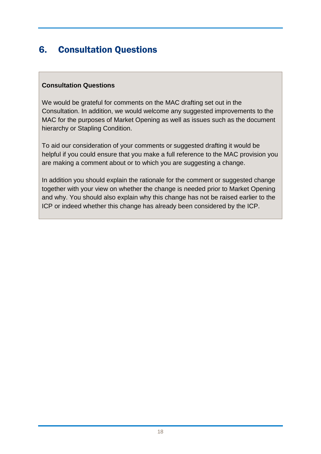## <span id="page-17-0"></span>6. Consultation Questions

#### **Consultation Questions**

We would be grateful for comments on the MAC drafting set out in the Consultation. In addition, we would welcome any suggested improvements to the MAC for the purposes of Market Opening as well as issues such as the document hierarchy or Stapling Condition.

To aid our consideration of your comments or suggested drafting it would be helpful if you could ensure that you make a full reference to the MAC provision you are making a comment about or to which you are suggesting a change.

In addition you should explain the rationale for the comment or suggested change together with your view on whether the change is needed prior to Market Opening and why. You should also explain why this change has not be raised earlier to the ICP or indeed whether this change has already been considered by the ICP.